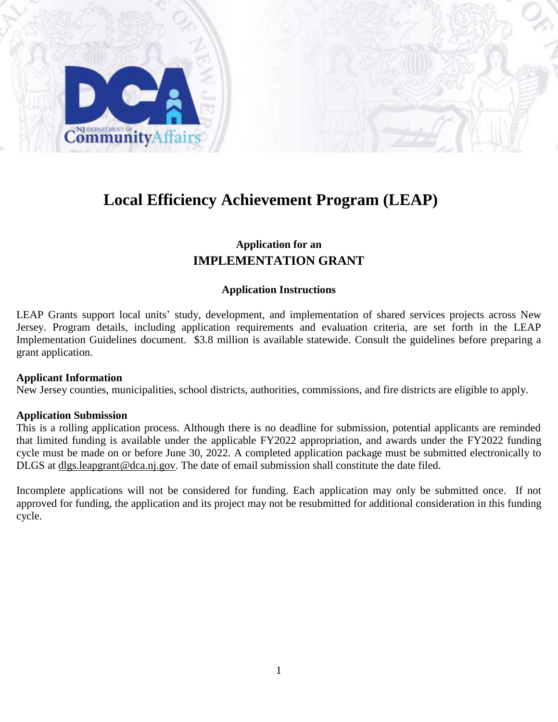

## **Local Efficiency Achievement Program (LEAP)**

## **Application for an IMPLEMENTATION GRANT**

#### **Application Instructions**

LEAP Grants support local units' study, development, and implementation of shared services projects across New Jersey. Program details, including application requirements and evaluation criteria, are set forth in the LEAP Implementation Guidelines document. \$3.8 million is available statewide. Consult the guidelines before preparing a grant application.

#### **Applicant Information**

New Jersey counties, municipalities, school districts, authorities, commissions, and fire districts are eligible to apply.

#### **Application Submission**

This is a rolling application process. Although there is no deadline for submission, potential applicants are reminded that limited funding is available under the applicable FY2022 appropriation, and awards under the FY2022 funding cycle must be made on or before June 30, 2022. A completed application package must be submitted electronically to DLGS at dlgs.leapgrant@dca.nj.gov. The date of email submission shall constitute the date filed.

Incomplete applications will not be considered for funding. Each application may only be submitted once. If not approved for funding, the application and its project may not be resubmitted for additional consideration in this funding cycle.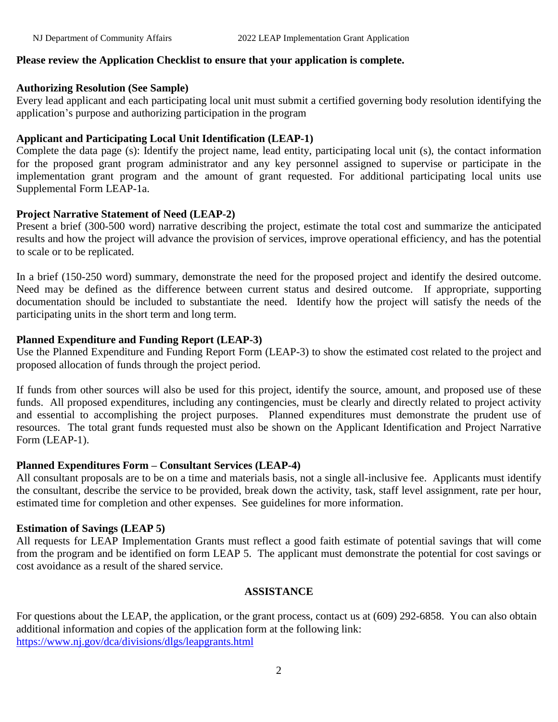## **Please review the Application Checklist to ensure that your application is complete.**

#### **Authorizing Resolution (See Sample)**

Every lead applicant and each participating local unit must submit a certified governing body resolution identifying the application's purpose and authorizing participation in the program

## **Applicant and Participating Local Unit Identification (LEAP-1)**

Complete the data page (s): Identify the project name, lead entity, participating local unit (s), the contact information for the proposed grant program administrator and any key personnel assigned to supervise or participate in the implementation grant program and the amount of grant requested. For additional participating local units use Supplemental Form LEAP-1a.

## **Project Narrative Statement of Need (LEAP-2)**

Present a brief (300-500 word) narrative describing the project, estimate the total cost and summarize the anticipated results and how the project will advance the provision of services, improve operational efficiency, and has the potential to scale or to be replicated.

In a brief (150-250 word) summary, demonstrate the need for the proposed project and identify the desired outcome. Need may be defined as the difference between current status and desired outcome. If appropriate, supporting documentation should be included to substantiate the need. Identify how the project will satisfy the needs of the participating units in the short term and long term.

#### **Planned Expenditure and Funding Report (LEAP-3)**

Use the Planned Expenditure and Funding Report Form (LEAP-3) to show the estimated cost related to the project and proposed allocation of funds through the project period.

If funds from other sources will also be used for this project, identify the source, amount, and proposed use of these funds. All proposed expenditures, including any contingencies, must be clearly and directly related to project activity and essential to accomplishing the project purposes. Planned expenditures must demonstrate the prudent use of resources. The total grant funds requested must also be shown on the Applicant Identification and Project Narrative Form (LEAP-1).

## **Planned Expenditures Form – Consultant Services (LEAP-4)**

All consultant proposals are to be on a time and materials basis, not a single all-inclusive fee. Applicants must identify the consultant, describe the service to be provided, break down the activity, task, staff level assignment, rate per hour, estimated time for completion and other expenses. See guidelines for more information.

#### **Estimation of Savings (LEAP 5)**

All requests for LEAP Implementation Grants must reflect a good faith estimate of potential savings that will come from the program and be identified on form LEAP 5. The applicant must demonstrate the potential for cost savings or cost avoidance as a result of the shared service.

#### **ASSISTANCE**

For questions about the LEAP, the application, or the grant process, contact us at (609) 292-6858. You can also obtain additional information and copies of the application form at the following link: <https://www.nj.gov/dca/divisions/dlgs/leapgrants.html>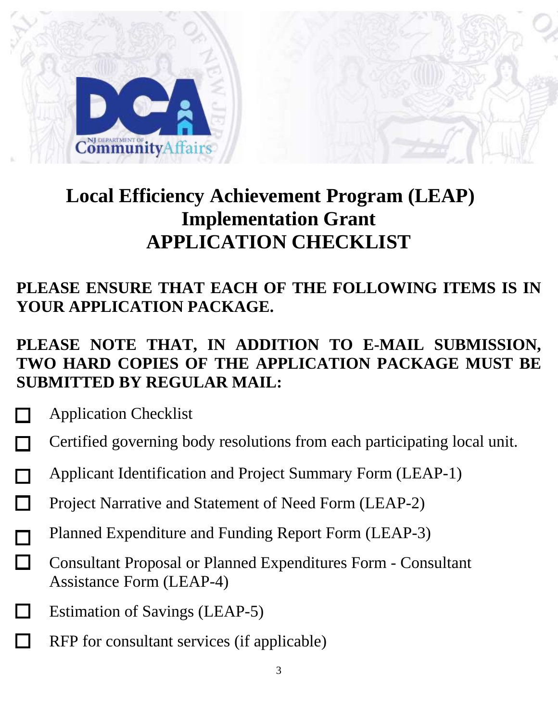

# **Local Efficiency Achievement Program (LEAP) Implementation Grant APPLICATION CHECKLIST**

## **PLEASE ENSURE THAT EACH OF THE FOLLOWING ITEMS IS IN YOUR APPLICATION PACKAGE.**

## **PLEASE NOTE THAT, IN ADDITION TO E-MAIL SUBMISSION, TWO HARD COPIES OF THE APPLICATION PACKAGE MUST BE SUBMITTED BY REGULAR MAIL:**

- Application Checklist
- Certified governing body resolutions from each participating local unit.
- Applicant Identification and Project Summary Form (LEAP-1)  $\sim 10$
- Project Narrative and Statement of Need Form (LEAP-2)  $\Box$
- Planned Expenditure and Funding Report Form (LEAP-3)
- П Consultant Proposal or Planned Expenditures Form - Consultant Assistance Form (LEAP-4)
- Estimation of Savings (LEAP-5)
- RFP for consultant services (if applicable)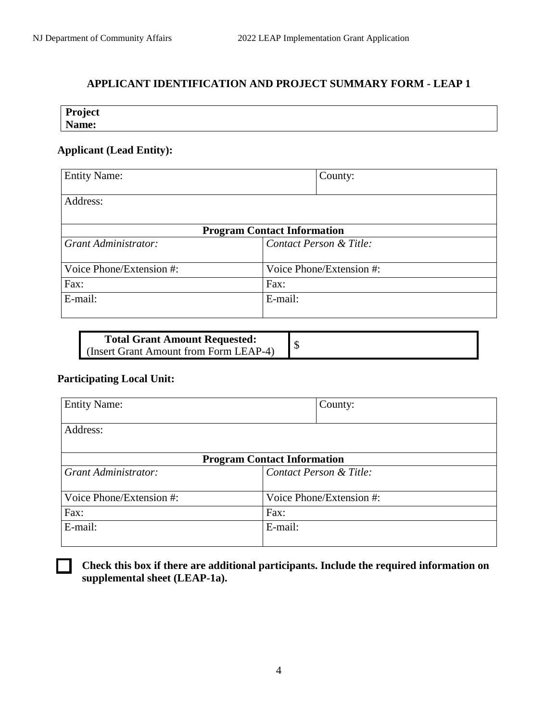## **APPLICANT IDENTIFICATION AND PROJECT SUMMARY FORM - LEAP 1**

| Project |  |  |
|---------|--|--|
| Name:   |  |  |

## **Applicant (Lead Entity):**

| <b>Entity Name:</b>      | County:                            |
|--------------------------|------------------------------------|
| Address:                 |                                    |
|                          | <b>Program Contact Information</b> |
| Grant Administrator:     | Contact Person & Title:            |
| Voice Phone/Extension #: | Voice Phone/Extension #:           |
| Fax:                     | Fax:                               |
| E-mail:                  | E-mail:                            |

| <b>Total Grant Amount Requested:</b>   |  |
|----------------------------------------|--|
| (Insert Grant Amount from Form LEAP-4) |  |

## **Participating Local Unit:**

| <b>Entity Name:</b>      | County:                            |
|--------------------------|------------------------------------|
| Address:                 |                                    |
|                          | <b>Program Contact Information</b> |
| Grant Administrator:     | Contact Person & Title:            |
| Voice Phone/Extension #: | Voice Phone/Extension #:           |
| Fax:                     | Fax:                               |
| E-mail:                  | E-mail:                            |

**Check this box if there are additional participants. Include the required information on supplemental sheet (LEAP-1a).**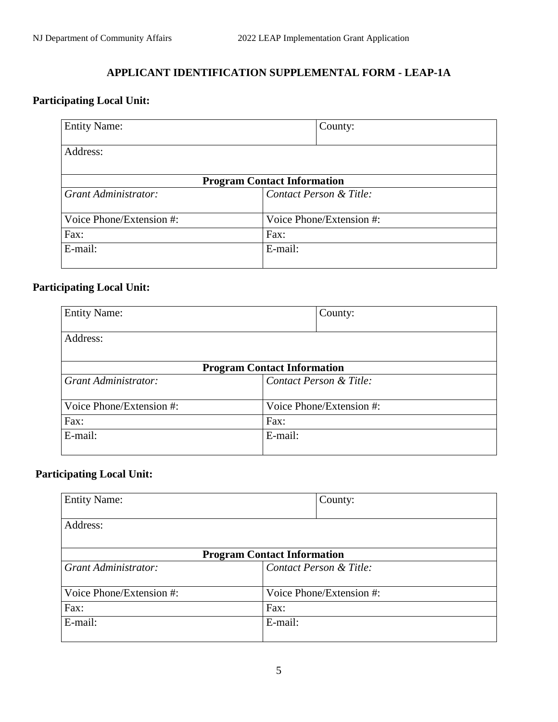## **APPLICANT IDENTIFICATION SUPPLEMENTAL FORM - LEAP-1A**

## **Participating Local Unit:**

| <b>Entity Name:</b>      | County:                            |  |
|--------------------------|------------------------------------|--|
| Address:                 |                                    |  |
|                          | <b>Program Contact Information</b> |  |
| Grant Administrator:     | Contact Person & Title:            |  |
| Voice Phone/Extension #: | Voice Phone/Extension #:           |  |
| Fax:                     | Fax:                               |  |
| E-mail:                  | E-mail:                            |  |

## **Participating Local Unit:**

| <b>Entity Name:</b>                |         | County:                  |
|------------------------------------|---------|--------------------------|
| Address:                           |         |                          |
|                                    |         |                          |
| <b>Program Contact Information</b> |         |                          |
| Grant Administrator:               |         | Contact Person & Title:  |
| Voice Phone/Extension #:           |         | Voice Phone/Extension #: |
| Fax:<br>Fax:                       |         |                          |
| E-mail:                            | E-mail: |                          |

## **Participating Local Unit:**

| <b>Entity Name:</b>      | County:                            |  |
|--------------------------|------------------------------------|--|
| Address:                 |                                    |  |
|                          | <b>Program Contact Information</b> |  |
| Grant Administrator:     | Contact Person & Title:            |  |
| Voice Phone/Extension #: | Voice Phone/Extension #:           |  |
| Fax:                     | Fax:                               |  |
| E-mail:                  | E-mail:                            |  |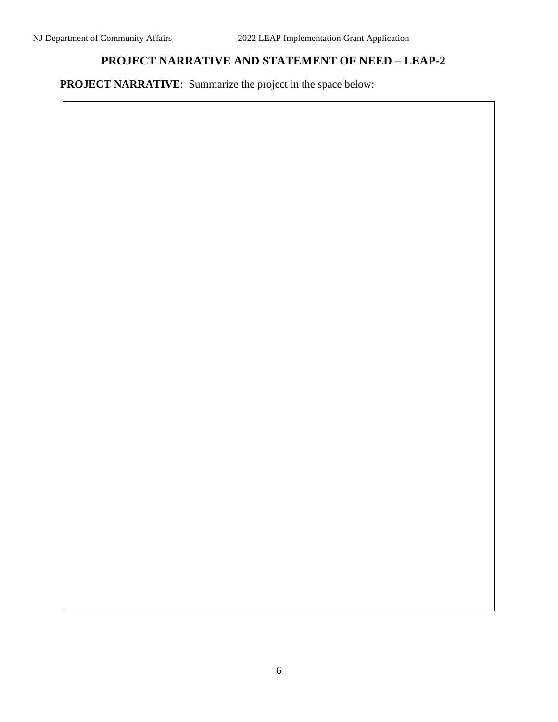## **PROJECT NARRATIVE AND STATEMENT OF NEED – LEAP-2**

**PROJECT NARRATIVE:** Summarize the project in the space below: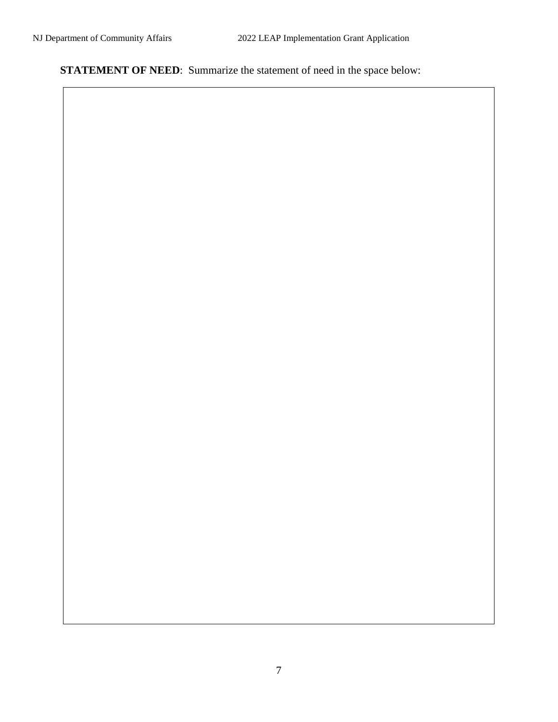**STATEMENT OF NEED:** Summarize the statement of need in the space below: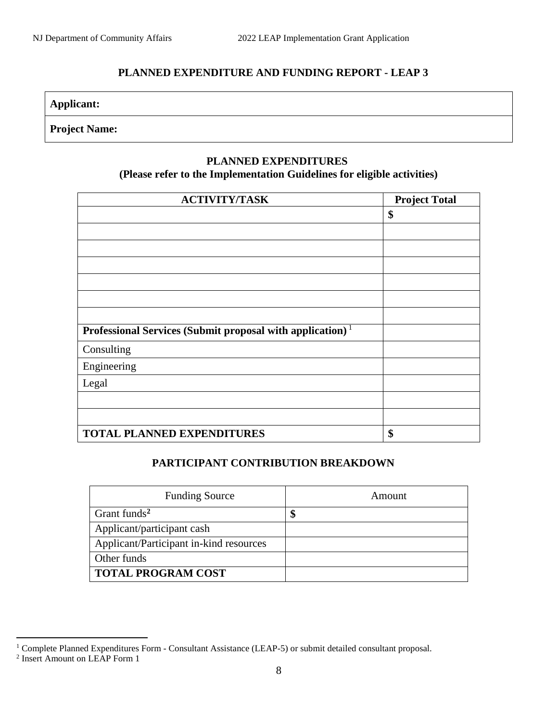## **PLANNED EXPENDITURE AND FUNDING REPORT - LEAP 3**

## **Applicant:**

## **Project Name:**

### **PLANNED EXPENDITURES**

## **(Please refer to the Implementation Guidelines for eligible activities)**

| <b>ACTIVITY/TASK</b>                                                  | <b>Project Total</b> |
|-----------------------------------------------------------------------|----------------------|
|                                                                       | \$                   |
|                                                                       |                      |
|                                                                       |                      |
|                                                                       |                      |
|                                                                       |                      |
|                                                                       |                      |
|                                                                       |                      |
| Professional Services (Submit proposal with application) <sup>1</sup> |                      |
| Consulting                                                            |                      |
| Engineering                                                           |                      |
| Legal                                                                 |                      |
|                                                                       |                      |
|                                                                       |                      |
| <b>TOTAL PLANNED EXPENDITURES</b>                                     | \$                   |

## **PARTICIPANT CONTRIBUTION BREAKDOWN**

| <b>Funding Source</b>                   | Amount |  |
|-----------------------------------------|--------|--|
| Grant funds <sup>2</sup>                | \$     |  |
| Applicant/participant cash              |        |  |
| Applicant/Participant in-kind resources |        |  |
| Other funds                             |        |  |
| <b>TOTAL PROGRAM COST</b>               |        |  |

 $\overline{a}$ 

<sup>&</sup>lt;sup>1</sup> Complete Planned Expenditures Form - Consultant Assistance (LEAP-5) or submit detailed consultant proposal.<br><sup>2</sup> Insert Amount on LEAP Form 1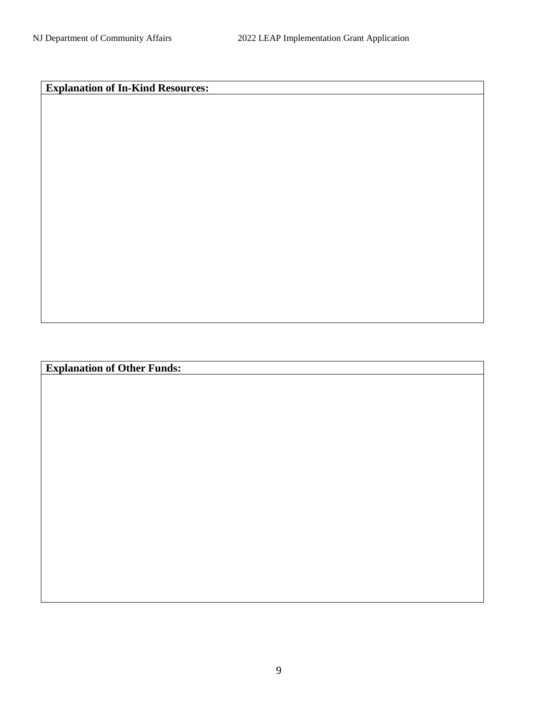**Explanation of In-Kind Resources:**

**Explanation of Other Funds:**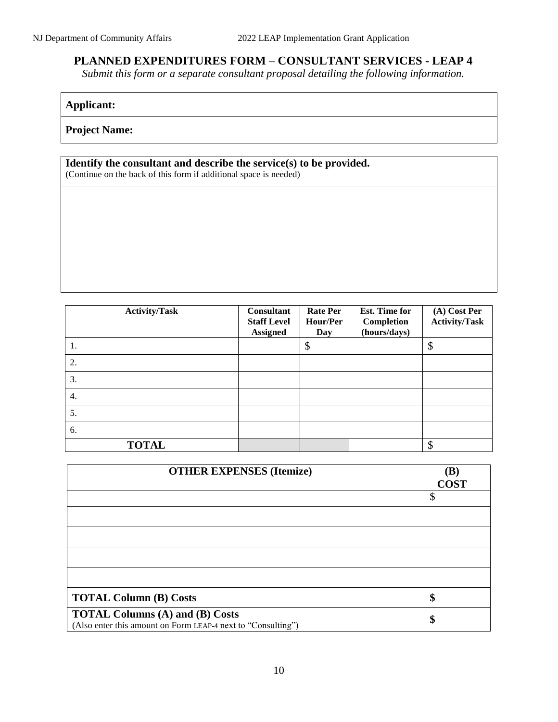## **PLANNED EXPENDITURES FORM – CONSULTANT SERVICES - LEAP 4**

*Submit this form or a separate consultant proposal detailing the following information.*

## **Applicant:**

**Project Name:**

## **Identify the consultant and describe the service(s) to be provided.**

(Continue on the back of this form if additional space is needed)

| <b>Activity/Task</b> | Consultant<br><b>Staff Level</b><br><b>Assigned</b> | <b>Rate Per</b><br>Hour/Per<br>Day | Est. Time for<br>Completion<br>(hours/days) | (A) Cost Per<br><b>Activity/Task</b> |
|----------------------|-----------------------------------------------------|------------------------------------|---------------------------------------------|--------------------------------------|
| 1.                   |                                                     | \$                                 |                                             | \$                                   |
| 2.                   |                                                     |                                    |                                             |                                      |
| 3.                   |                                                     |                                    |                                             |                                      |
| 4.                   |                                                     |                                    |                                             |                                      |
| 5.                   |                                                     |                                    |                                             |                                      |
| 6.                   |                                                     |                                    |                                             |                                      |
| <b>TOTAL</b>         |                                                     |                                    |                                             | S                                    |

| <b>OTHER EXPENSES (Itemize)</b>                                                                        | (B)<br><b>COST</b> |
|--------------------------------------------------------------------------------------------------------|--------------------|
|                                                                                                        | \$                 |
|                                                                                                        |                    |
|                                                                                                        |                    |
|                                                                                                        |                    |
|                                                                                                        |                    |
| <b>TOTAL Column (B) Costs</b>                                                                          | \$                 |
| <b>TOTAL Columns (A) and (B) Costs</b><br>(Also enter this amount on Form LEAP-4 next to "Consulting") | \$                 |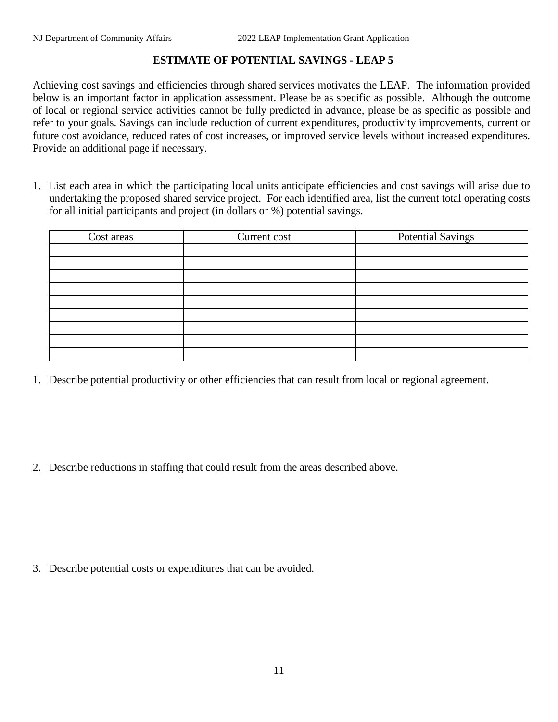## **ESTIMATE OF POTENTIAL SAVINGS - LEAP 5**

Achieving cost savings and efficiencies through shared services motivates the LEAP. The information provided below is an important factor in application assessment. Please be as specific as possible. Although the outcome of local or regional service activities cannot be fully predicted in advance, please be as specific as possible and refer to your goals. Savings can include reduction of current expenditures, productivity improvements, current or future cost avoidance, reduced rates of cost increases, or improved service levels without increased expenditures. Provide an additional page if necessary.

1. List each area in which the participating local units anticipate efficiencies and cost savings will arise due to undertaking the proposed shared service project. For each identified area, list the current total operating costs for all initial participants and project (in dollars or %) potential savings.

| Cost areas | Current cost | <b>Potential Savings</b> |
|------------|--------------|--------------------------|
|            |              |                          |
|            |              |                          |
|            |              |                          |
|            |              |                          |
|            |              |                          |
|            |              |                          |
|            |              |                          |
|            |              |                          |
|            |              |                          |

1. Describe potential productivity or other efficiencies that can result from local or regional agreement.

2. Describe reductions in staffing that could result from the areas described above.

3. Describe potential costs or expenditures that can be avoided.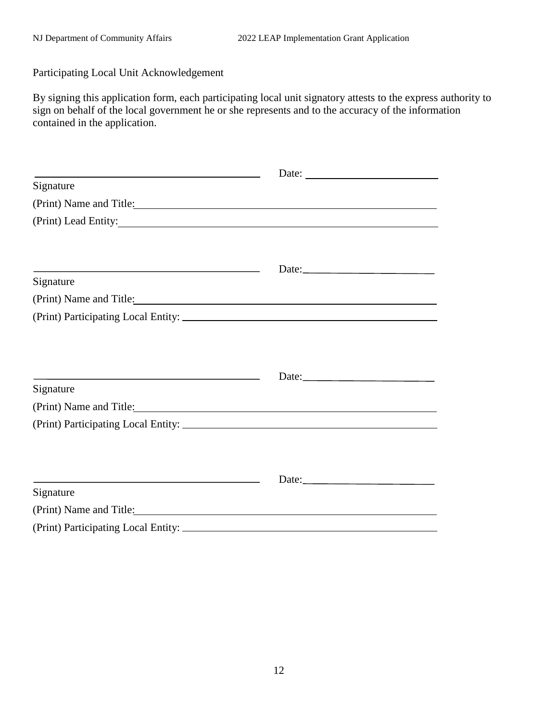Participating Local Unit Acknowledgement

By signing this application form, each participating local unit signatory attests to the express authority to sign on behalf of the local government he or she represents and to the accuracy of the information contained in the application.

| <u> 1989 - Johann Stein, marwolaethau a bhann an t-Amhair an t-Amhair an t-Amhair an t-Amhair an t-Amhair an t-A</u>                                                                                                          | Date: $\frac{1}{\sqrt{1-\frac{1}{2}} \cdot \frac{1}{2} \cdot \frac{1}{2} \cdot \frac{1}{2} \cdot \frac{1}{2} \cdot \frac{1}{2} \cdot \frac{1}{2} \cdot \frac{1}{2} \cdot \frac{1}{2} \cdot \frac{1}{2} \cdot \frac{1}{2} \cdot \frac{1}{2} \cdot \frac{1}{2} \cdot \frac{1}{2} \cdot \frac{1}{2} \cdot \frac{1}{2} \cdot \frac{1}{2} \cdot \frac{1}{2} \cdot \frac{1}{2} \cdot \frac{1}{2} \cdot \frac{1}{2} \cdot \frac{1}{2} \cdot \frac{1}{2}$ |  |
|-------------------------------------------------------------------------------------------------------------------------------------------------------------------------------------------------------------------------------|---------------------------------------------------------------------------------------------------------------------------------------------------------------------------------------------------------------------------------------------------------------------------------------------------------------------------------------------------------------------------------------------------------------------------------------------------|--|
| Signature                                                                                                                                                                                                                     |                                                                                                                                                                                                                                                                                                                                                                                                                                                   |  |
| (Print) Name and Title:                                                                                                                                                                                                       |                                                                                                                                                                                                                                                                                                                                                                                                                                                   |  |
|                                                                                                                                                                                                                               |                                                                                                                                                                                                                                                                                                                                                                                                                                                   |  |
|                                                                                                                                                                                                                               |                                                                                                                                                                                                                                                                                                                                                                                                                                                   |  |
|                                                                                                                                                                                                                               |                                                                                                                                                                                                                                                                                                                                                                                                                                                   |  |
| <u> 1989 - Johann Barbara, martxa alemaniar argumento este alemaniar alemaniar alemaniar alemaniar alemaniar al</u><br>Signature                                                                                              | Date:                                                                                                                                                                                                                                                                                                                                                                                                                                             |  |
| (Print) Name and Title:                                                                                                                                                                                                       |                                                                                                                                                                                                                                                                                                                                                                                                                                                   |  |
|                                                                                                                                                                                                                               |                                                                                                                                                                                                                                                                                                                                                                                                                                                   |  |
|                                                                                                                                                                                                                               |                                                                                                                                                                                                                                                                                                                                                                                                                                                   |  |
|                                                                                                                                                                                                                               |                                                                                                                                                                                                                                                                                                                                                                                                                                                   |  |
|                                                                                                                                                                                                                               |                                                                                                                                                                                                                                                                                                                                                                                                                                                   |  |
| Signature                                                                                                                                                                                                                     | Date:                                                                                                                                                                                                                                                                                                                                                                                                                                             |  |
| (Print) Name and Title:                                                                                                                                                                                                       |                                                                                                                                                                                                                                                                                                                                                                                                                                                   |  |
| (Print) Participating Local Entity: Letters and American control of the Control of the Control of the Control of the Control of the Control of the Control of the Control of the Control of the Control of the Control of the |                                                                                                                                                                                                                                                                                                                                                                                                                                                   |  |
|                                                                                                                                                                                                                               |                                                                                                                                                                                                                                                                                                                                                                                                                                                   |  |
|                                                                                                                                                                                                                               |                                                                                                                                                                                                                                                                                                                                                                                                                                                   |  |
| and the control of the control of the control of the control of the control of the control of the control of the                                                                                                              | Date:                                                                                                                                                                                                                                                                                                                                                                                                                                             |  |
| Signature                                                                                                                                                                                                                     |                                                                                                                                                                                                                                                                                                                                                                                                                                                   |  |
| (Print) Name and Title:                                                                                                                                                                                                       |                                                                                                                                                                                                                                                                                                                                                                                                                                                   |  |
|                                                                                                                                                                                                                               |                                                                                                                                                                                                                                                                                                                                                                                                                                                   |  |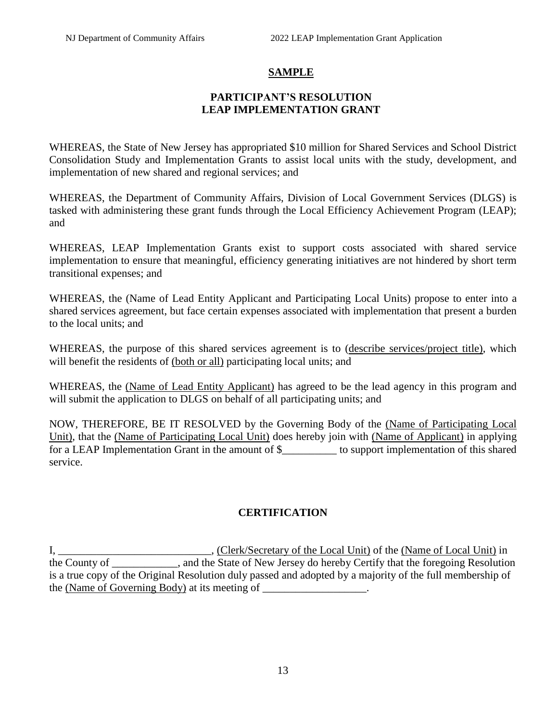## **SAMPLE**

## **PARTICIPANT'S RESOLUTION LEAP IMPLEMENTATION GRANT**

WHEREAS, the State of New Jersey has appropriated \$10 million for Shared Services and School District Consolidation Study and Implementation Grants to assist local units with the study, development, and implementation of new shared and regional services; and

WHEREAS, the Department of Community Affairs, Division of Local Government Services (DLGS) is tasked with administering these grant funds through the Local Efficiency Achievement Program (LEAP); and

WHEREAS, LEAP Implementation Grants exist to support costs associated with shared service implementation to ensure that meaningful, efficiency generating initiatives are not hindered by short term transitional expenses; and

WHEREAS, the (Name of Lead Entity Applicant and Participating Local Units) propose to enter into a shared services agreement, but face certain expenses associated with implementation that present a burden to the local units; and

WHEREAS, the purpose of this shared services agreement is to (describe services/project title), which will benefit the residents of (both or all) participating local units; and

WHEREAS, the (Name of Lead Entity Applicant) has agreed to be the lead agency in this program and will submit the application to DLGS on behalf of all participating units; and

NOW, THEREFORE, BE IT RESOLVED by the Governing Body of the (Name of Participating Local Unit), that the (Name of Participating Local Unit) does hereby join with (Name of Applicant) in applying for a LEAP Implementation Grant in the amount of \$\_\_\_\_\_\_\_\_\_\_ to support implementation of this shared service.

## **CERTIFICATION**

I, \_\_\_\_\_\_\_\_\_\_\_\_\_\_\_\_\_\_\_\_\_\_\_\_\_\_\_\_\_\_, (Clerk/Secretary of the Local Unit) of the (Name of Local Unit) in the County of \_\_\_\_\_\_\_\_\_\_\_\_, and the State of New Jersey do hereby Certify that the foregoing Resolution is a true copy of the Original Resolution duly passed and adopted by a majority of the full membership of the (Name of Governing Body) at its meeting of